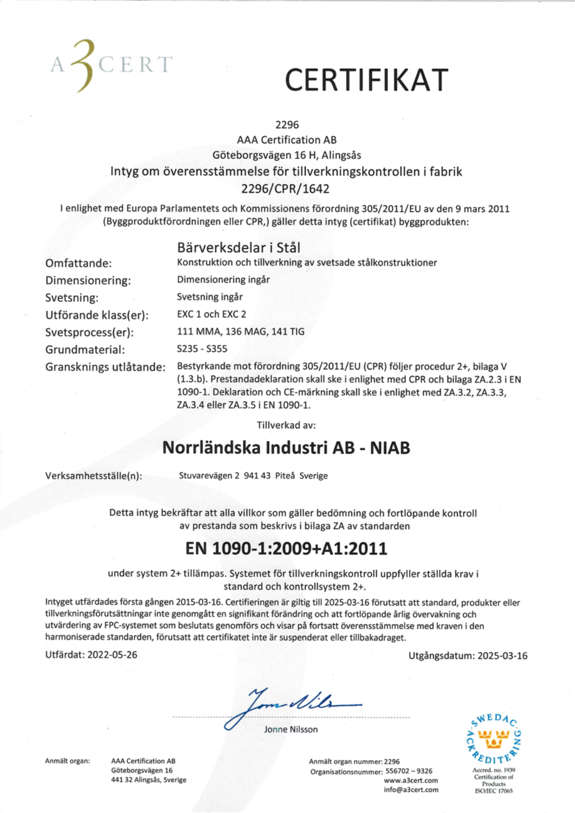

## **CERTIFIKAT**

#### 2296

#### **AAA Certification AB** Göteborgsvägen 16 H, Alingsås Intyg om överensstämmelse för tillverkningskontrollen i fabrik 2296/CPR/1642

I enlighet med Europa Parlamentets och Kommissionens förordning 305/2011/EU av den 9 mars 2011 (Byggproduktförordningen eller CPR,) gäller detta intyg (certifikat) byggprodukten:

#### Bärverksdelar i Stål

| Omfattange:            | Konstruktion och tillverkning av svetsade stalkonstruktioner                                                                                                                                                                                   |
|------------------------|------------------------------------------------------------------------------------------------------------------------------------------------------------------------------------------------------------------------------------------------|
| Dimensionering:        | Dimensionering ingår                                                                                                                                                                                                                           |
| Svetsning:             | Svetsning ingår                                                                                                                                                                                                                                |
| Utförande klass(er):   | EXC 1 och EXC 2                                                                                                                                                                                                                                |
| Svetsprocess(er):      | 111 MMA, 136 MAG, 141 TIG                                                                                                                                                                                                                      |
| Grundmaterial:         | S235 - S355                                                                                                                                                                                                                                    |
| Gransknings utlåtande: | Bestyrkande mot förordning 305/2011/EU (CPR) följer procedur 2+, bilaga V<br>(1.3.b). Prestandadeklaration skall ske i enlighet med CPR och bilaga ZA.2.3 i EN<br>1090-1. Deklaration och CE-märkning skall ske i enlighet med ZA.3.2, ZA.3.3. |

Tillverkad av:

#### Norrländska Industri AB - NIAB

Verksamhetsställe(n):

Stuvarevägen 2 941 43 Piteå Sverige

ZA.3.4 eller ZA.3.5 i EN 1090-1.

Detta intyg bekräftar att alla villkor som gäller bedömning och fortlöpande kontroll av prestanda som beskrivs i bilaga ZA av standarden

#### EN 1090-1:2009+A1:2011

under system 2+ tillämpas. Systemet för tillverkningskontroll uppfyller ställda krav i standard och kontrollsystem 2+.

Intyget utfärdades första gången 2015-03-16. Certifieringen är giltig till 2025-03-16 förutsatt att standard, produkter eller tillverkningsförutsättningar inte genomgått en signifikant förändring och att fortlöpande årlig övervakning och utvärdering av FPC-systemet som beslutats genomförs och visar på fortsatt överensstämmelse med kraven i den harmoniserade standarden, förutsatt att certifikatet inte är suspenderat eller tillbakadraget.

Utfärdat: 2022-05-26

mille

Jonne Nilsson



**ISO/IEC 17065** 

Utgångsdatum: 2025-03-16

Anmält organ:

**AAA Certification AB** Göteborgsvägen 16 441 32 Alingsås, Sverige Anmält organ nummer: 2296 Organisationsnummer: 556702-9326 www.a3cert.com info@a3cert.com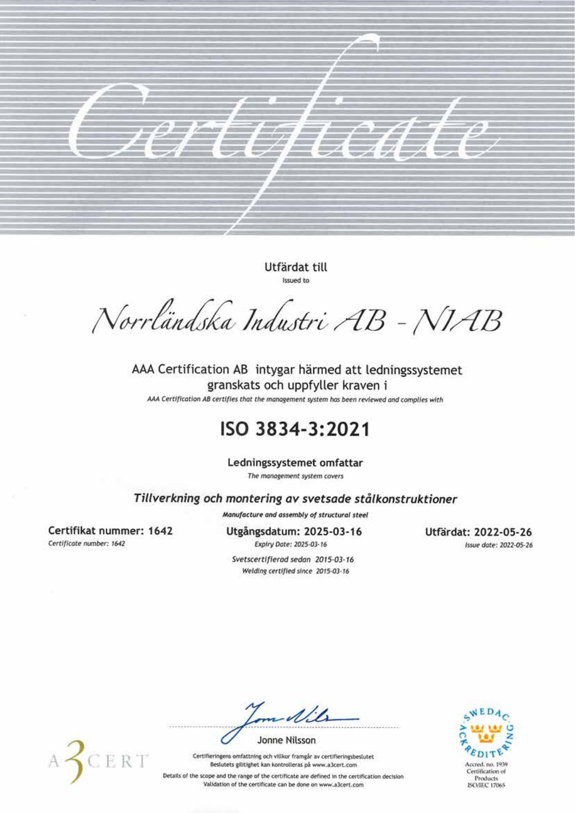

Utfärdat till Issued to

Norrländska Industri AB - NIAB

AAA Certification AB intygar härmed att ledningssystemet granskats och uppfyller kraven i

AAA Certification AB certifies that the management system has been reviewed and complies with

#### ISO 3834-3:2021

Ledningssystemet omfattar

The management system covers

Tillverkning och montering av svetsade stålkonstruktioner

Manufacture and assembly of structural steel

Certifikat nummer: 1642 Certificate number: 1642

Utgångsdatum: 2025-03-16 Expiry Date: 2025-03-16

Utfärdat: 2022-05-26 Issue date: 2022-05-26

Svetscertifierad sedan 2015-03-16 Welding certified since 2015-03-16



 $\mathcal{A}/\mathcal{A}$ 

**Jonne Nilsson** 

Certifieringens omfattning och villkor framgår av certifieringsbeslutet Beslutets gilitighet kan kontrolleras på www.a3cert.com

Details of the scope and the range of the certificate are defined in the certification decision Validation of the certificate can be done on www.a3cert.com

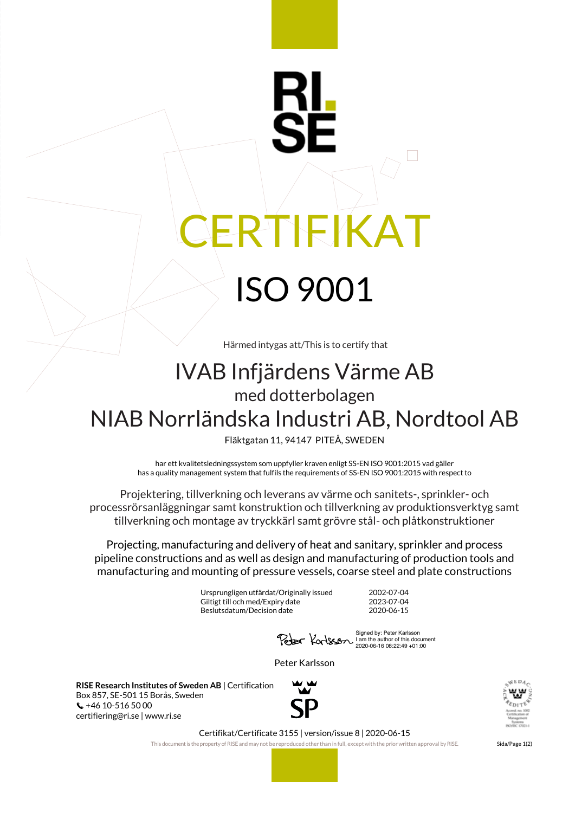# **IEKA** ISO 9001

Härmed intygas att/This is to certify that

### IVAB Infjärdens Värme AB med dotterbolagen NIAB Norrländska Industri AB, Nordtool AB

Fläktgatan 11, 94147 PITEÅ, SWEDEN

har ett kvalitetsledningssystem som uppfyller kraven enligt SS-EN ISO 9001:2015 vad gäller has a quality management system that fulfils the requirements of SS-EN ISO 9001:2015 with respect to

Projektering, tillverkning och leverans av värme och sanitets-, sprinkler- och processrörsanläggningar samt konstruktion och tillverkning av produktionsverktyg samt tillverkning och montage av tryckkärl samt grövre stål- och plåtkonstruktioner

Projecting, manufacturing and delivery of heat and sanitary, sprinkler and process pipeline constructions and as well as design and manufacturing of production tools and manufacturing and mounting of pressure vessels, coarse steel and plate constructions

> Ursprungligen utfärdat/Originally issued 2002-07-04 Giltigt till och med/Expiry date 2023-07-04<br>Beslutsdatum/Decision date 2020-06-15 Beslutsdatum/Decision date

Signed by: Peter Karlsson I am the author of this document 2020-06-16 08:22:49 +01:00

Peter Karlsson

**RISE Research Institutes of Sweden AB** | Certification Box 857, SE-501 15 Borås, Sweden  $\binom{4}{10}$  +46 10-516 50 00 certifiering@ri.se | www.ri.se





Certifikat/Certificate 3155 | version/issue 8 | 2020-06-15

This document is the property of RISE and may not be reproduced other than in full, except with the prior written approval by RISE. Sida/Page 1(2)